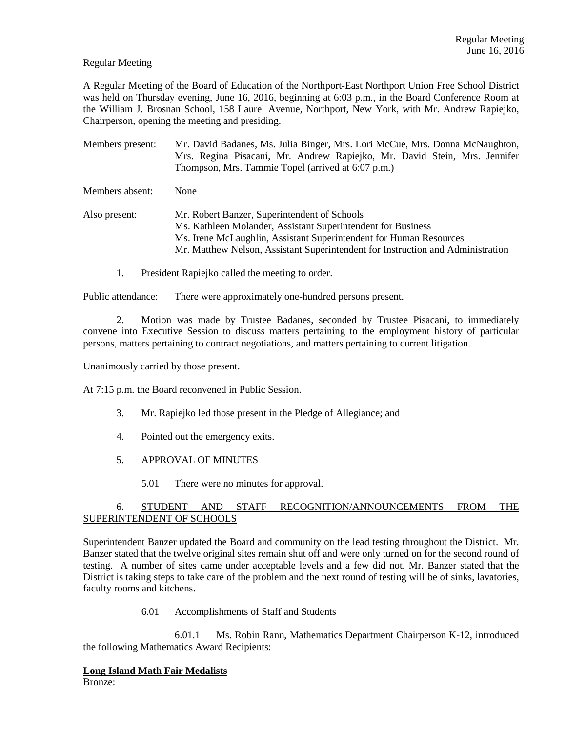# Regular Meeting

A Regular Meeting of the Board of Education of the Northport-East Northport Union Free School District was held on Thursday evening, June 16, 2016, beginning at 6:03 p.m., in the Board Conference Room at the William J. Brosnan School, 158 Laurel Avenue, Northport, New York, with Mr. Andrew Rapiejko, Chairperson, opening the meeting and presiding.

Members present: Mr. David Badanes, Ms. Julia Binger, Mrs. Lori McCue, Mrs. Donna McNaughton, Mrs. Regina Pisacani, Mr. Andrew Rapiejko, Mr. David Stein, Mrs. Jennifer Thompson, Mrs. Tammie Topel (arrived at 6:07 p.m.) Members absent: None Also present: Mr. Robert Banzer, Superintendent of Schools Ms. Kathleen Molander, Assistant Superintendent for Business Ms. Irene McLaughlin, Assistant Superintendent for Human Resources Mr. Matthew Nelson, Assistant Superintendent for Instruction and Administration

1. President Rapiejko called the meeting to order.

Public attendance: There were approximately one-hundred persons present.

2. Motion was made by Trustee Badanes, seconded by Trustee Pisacani, to immediately convene into Executive Session to discuss matters pertaining to the employment history of particular persons, matters pertaining to contract negotiations, and matters pertaining to current litigation.

Unanimously carried by those present.

At 7:15 p.m. the Board reconvened in Public Session.

- 3. Mr. Rapiejko led those present in the Pledge of Allegiance; and
- 4. Pointed out the emergency exits.
- 5. APPROVAL OF MINUTES
	- 5.01 There were no minutes for approval.

# 6. STUDENT AND STAFF RECOGNITION/ANNOUNCEMENTS FROM THE SUPERINTENDENT OF SCHOOLS

Superintendent Banzer updated the Board and community on the lead testing throughout the District. Mr. Banzer stated that the twelve original sites remain shut off and were only turned on for the second round of testing. A number of sites came under acceptable levels and a few did not. Mr. Banzer stated that the District is taking steps to take care of the problem and the next round of testing will be of sinks, lavatories, faculty rooms and kitchens.

6.01 Accomplishments of Staff and Students

 6.01.1 Ms. Robin Rann, Mathematics Department Chairperson K-12, introduced the following Mathematics Award Recipients:

## **Long Island Math Fair Medalists**  Bronze: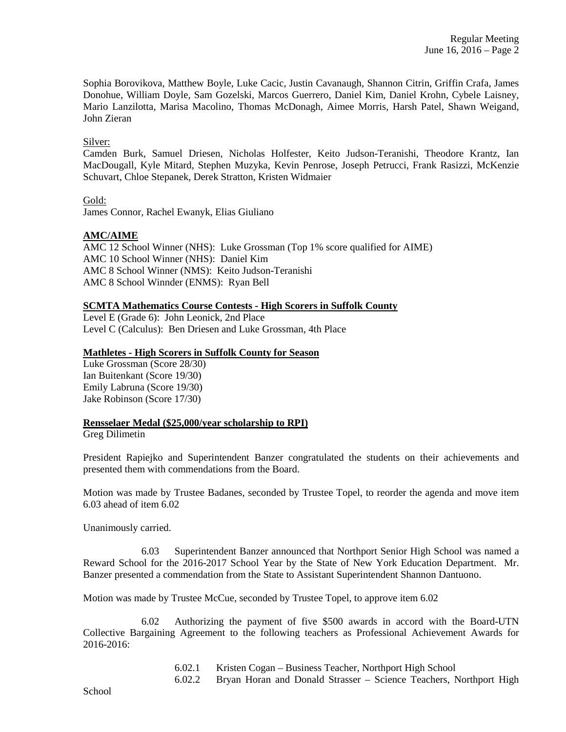Sophia Borovikova, Matthew Boyle, Luke Cacic, Justin Cavanaugh, Shannon Citrin, Griffin Crafa, James Donohue, William Doyle, Sam Gozelski, Marcos Guerrero, Daniel Kim, Daniel Krohn, Cybele Laisney, Mario Lanzilotta, Marisa Macolino, Thomas McDonagh, Aimee Morris, Harsh Patel, Shawn Weigand, John Zieran

Silver:

Camden Burk, Samuel Driesen, Nicholas Holfester, Keito Judson-Teranishi, Theodore Krantz, Ian MacDougall, Kyle Mitard, Stephen Muzyka, Kevin Penrose, Joseph Petrucci, Frank Rasizzi, McKenzie Schuvart, Chloe Stepanek, Derek Stratton, Kristen Widmaier

Gold:

James Connor, Rachel Ewanyk, Elias Giuliano

# **AMC/AIME**

AMC 12 School Winner (NHS): Luke Grossman (Top 1% score qualified for AIME) AMC 10 School Winner (NHS): Daniel Kim AMC 8 School Winner (NMS): Keito Judson-Teranishi AMC 8 School Winnder (ENMS): Ryan Bell

## **SCMTA Mathematics Course Contests - High Scorers in Suffolk County**

Level E (Grade 6): John Leonick, 2nd Place Level C (Calculus): Ben Driesen and Luke Grossman, 4th Place

## **Mathletes - High Scorers in Suffolk County for Season**

Luke Grossman (Score 28/30) Ian Buitenkant (Score 19/30) Emily Labruna (Score 19/30) Jake Robinson (Score 17/30)

### **Rensselaer Medal (\$25,000/year scholarship to RPI)**

Greg Dilimetin

President Rapiejko and Superintendent Banzer congratulated the students on their achievements and presented them with commendations from the Board.

Motion was made by Trustee Badanes, seconded by Trustee Topel, to reorder the agenda and move item 6.03 ahead of item 6.02

Unanimously carried.

 6.03 Superintendent Banzer announced that Northport Senior High School was named a Reward School for the 2016-2017 School Year by the State of New York Education Department. Mr. Banzer presented a commendation from the State to Assistant Superintendent Shannon Dantuono.

Motion was made by Trustee McCue, seconded by Trustee Topel, to approve item 6.02

 6.02 Authorizing the payment of five \$500 awards in accord with the Board-UTN Collective Bargaining Agreement to the following teachers as Professional Achievement Awards for 2016-2016:

6.02.1 Kristen Cogan – Business Teacher, Northport High School

6.02.2 Bryan Horan and Donald Strasser – Science Teachers, Northport High

School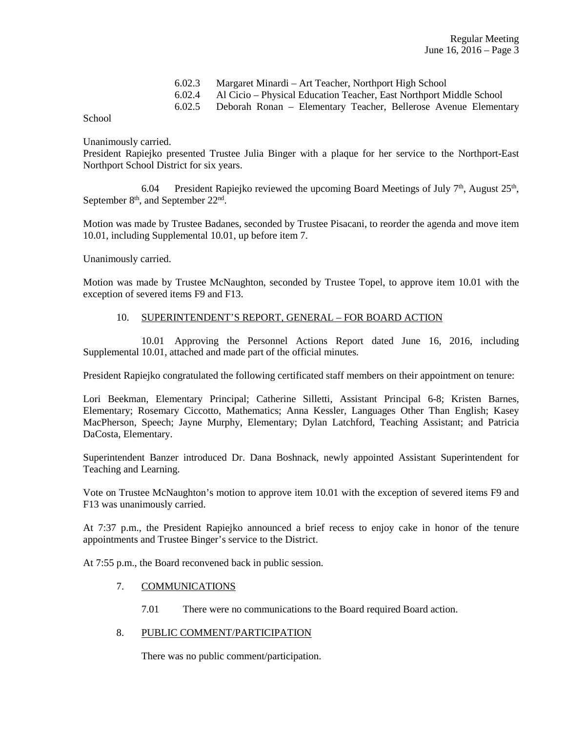| 6.02.3 Margaret Minardi – Art Teacher, Northport High School               |
|----------------------------------------------------------------------------|
| 6.02.4 Al Cicio – Physical Education Teacher, East Northport Middle School |
| 6.02.5 Deborah Ronan – Elementary Teacher, Bellerose Avenue Elementary     |

School

Unanimously carried.

President Rapiejko presented Trustee Julia Binger with a plaque for her service to the Northport-East Northport School District for six years.

6.04 President Rapiejko reviewed the upcoming Board Meetings of July  $7<sup>th</sup>$ , August  $25<sup>th</sup>$ , September  $8<sup>th</sup>$ , and September  $22<sup>nd</sup>$ .

Motion was made by Trustee Badanes, seconded by Trustee Pisacani, to reorder the agenda and move item 10.01, including Supplemental 10.01, up before item 7.

Unanimously carried.

Motion was made by Trustee McNaughton, seconded by Trustee Topel, to approve item 10.01 with the exception of severed items F9 and F13.

## 10. SUPERINTENDENT'S REPORT, GENERAL – FOR BOARD ACTION

 10.01 Approving the Personnel Actions Report dated June 16, 2016, including Supplemental 10.01, attached and made part of the official minutes.

President Rapiejko congratulated the following certificated staff members on their appointment on tenure:

Lori Beekman, Elementary Principal; Catherine Silletti, Assistant Principal 6-8; Kristen Barnes, Elementary; Rosemary Ciccotto, Mathematics; Anna Kessler, Languages Other Than English; Kasey MacPherson, Speech; Jayne Murphy, Elementary; Dylan Latchford, Teaching Assistant; and Patricia DaCosta, Elementary.

Superintendent Banzer introduced Dr. Dana Boshnack, newly appointed Assistant Superintendent for Teaching and Learning.

Vote on Trustee McNaughton's motion to approve item 10.01 with the exception of severed items F9 and F13 was unanimously carried.

At 7:37 p.m., the President Rapiejko announced a brief recess to enjoy cake in honor of the tenure appointments and Trustee Binger's service to the District.

At 7:55 p.m., the Board reconvened back in public session.

#### 7. COMMUNICATIONS

7.01 There were no communications to the Board required Board action.

# 8. PUBLIC COMMENT/PARTICIPATION

There was no public comment/participation.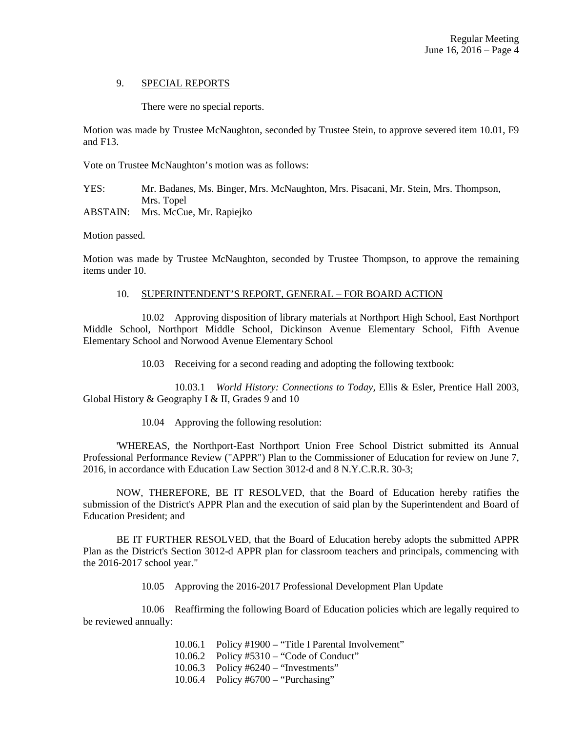### 9. SPECIAL REPORTS

There were no special reports.

Motion was made by Trustee McNaughton, seconded by Trustee Stein, to approve severed item 10.01, F9 and F13.

Vote on Trustee McNaughton's motion was as follows:

YES: Mr. Badanes, Ms. Binger, Mrs. McNaughton, Mrs. Pisacani, Mr. Stein, Mrs. Thompson, Mrs. Topel ABSTAIN: Mrs. McCue, Mr. Rapiejko

Motion passed.

Motion was made by Trustee McNaughton, seconded by Trustee Thompson, to approve the remaining items under 10.

#### 10. SUPERINTENDENT'S REPORT, GENERAL – FOR BOARD ACTION

 10.02 Approving disposition of library materials at Northport High School, East Northport Middle School, Northport Middle School, Dickinson Avenue Elementary School, Fifth Avenue Elementary School and Norwood Avenue Elementary School

10.03 Receiving for a second reading and adopting the following textbook:

 10.03.1 *World History: Connections to Today,* Ellis & Esler, Prentice Hall 2003, Global History & Geography I & II, Grades 9 and 10

10.04 Approving the following resolution:

 'WHEREAS, the Northport-East Northport Union Free School District submitted its Annual Professional Performance Review ("APPR") Plan to the Commissioner of Education for review on June 7, 2016, in accordance with Education Law Section 3012-d and 8 N.Y.C.R.R. 30-3;

 NOW, THEREFORE, BE IT RESOLVED, that the Board of Education hereby ratifies the submission of the District's APPR Plan and the execution of said plan by the Superintendent and Board of Education President; and

 BE IT FURTHER RESOLVED, that the Board of Education hereby adopts the submitted APPR Plan as the District's Section 3012-d APPR plan for classroom teachers and principals, commencing with the 2016-2017 school year."

10.05 Approving the 2016-2017 Professional Development Plan Update

 10.06 Reaffirming the following Board of Education policies which are legally required to be reviewed annually:

> 10.06.1 Policy #1900 – "Title I Parental Involvement" 10.06.2 Policy #5310 – "Code of Conduct" 10.06.3 Policy #6240 – "Investments" 10.06.4 Policy #6700 – "Purchasing"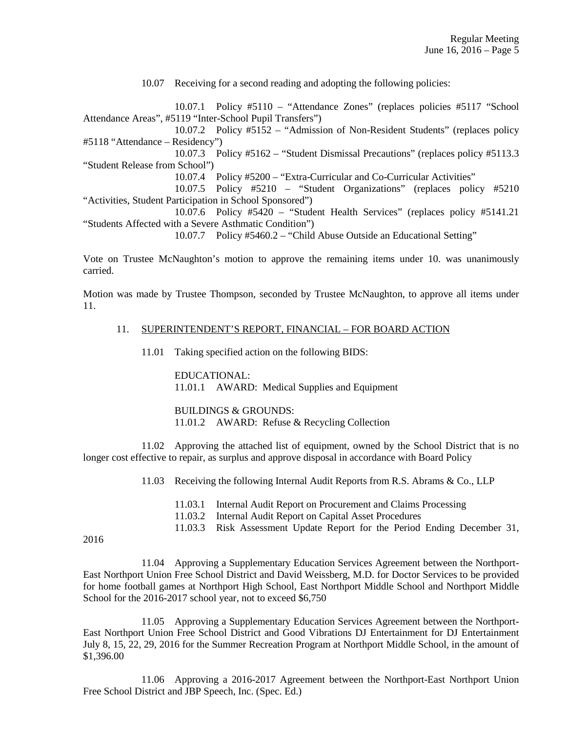10.07 Receiving for a second reading and adopting the following policies:

 10.07.1 Policy #5110 – "Attendance Zones" (replaces policies #5117 "School Attendance Areas", #5119 "Inter-School Pupil Transfers")

 10.07.2 Policy #5152 – "Admission of Non-Resident Students" (replaces policy #5118 "Attendance – Residency")

 10.07.3 Policy #5162 – "Student Dismissal Precautions" (replaces policy #5113.3 "Student Release from School")

10.07.4 Policy #5200 – "Extra-Curricular and Co-Curricular Activities"

 10.07.5 Policy #5210 – "Student Organizations" (replaces policy #5210 "Activities, Student Participation in School Sponsored")

 10.07.6 Policy #5420 – "Student Health Services" (replaces policy #5141.21 "Students Affected with a Severe Asthmatic Condition")

10.07.7 Policy #5460.2 – "Child Abuse Outside an Educational Setting"

Vote on Trustee McNaughton's motion to approve the remaining items under 10. was unanimously carried.

Motion was made by Trustee Thompson, seconded by Trustee McNaughton, to approve all items under 11.

#### 11. SUPERINTENDENT'S REPORT, FINANCIAL – FOR BOARD ACTION

11.01 Taking specified action on the following BIDS:

 EDUCATIONAL: 11.01.1 AWARD: Medical Supplies and Equipment

 BUILDINGS & GROUNDS: 11.01.2 AWARD: Refuse & Recycling Collection

 11.02 Approving the attached list of equipment, owned by the School District that is no longer cost effective to repair, as surplus and approve disposal in accordance with Board Policy

11.03 Receiving the following Internal Audit Reports from R.S. Abrams & Co., LLP

- 11.03.1 Internal Audit Report on Procurement and Claims Processing
- 11.03.2 Internal Audit Report on Capital Asset Procedures
- 11.03.3 Risk Assessment Update Report for the Period Ending December 31,

2016

 11.04 Approving a Supplementary Education Services Agreement between the Northport-East Northport Union Free School District and David Weissberg, M.D. for Doctor Services to be provided for home football games at Northport High School, East Northport Middle School and Northport Middle School for the 2016-2017 school year, not to exceed \$6,750

 11.05 Approving a Supplementary Education Services Agreement between the Northport-East Northport Union Free School District and Good Vibrations DJ Entertainment for DJ Entertainment July 8, 15, 22, 29, 2016 for the Summer Recreation Program at Northport Middle School, in the amount of \$1,396.00

 11.06 Approving a 2016-2017 Agreement between the Northport-East Northport Union Free School District and JBP Speech, Inc. (Spec. Ed.)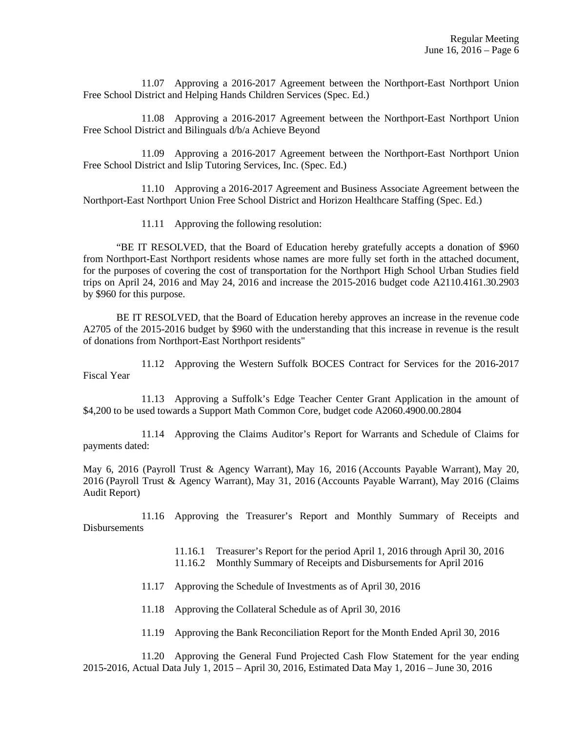11.07 Approving a 2016-2017 Agreement between the Northport-East Northport Union Free School District and Helping Hands Children Services (Spec. Ed.)

 11.08 Approving a 2016-2017 Agreement between the Northport-East Northport Union Free School District and Bilinguals d/b/a Achieve Beyond

 11.09 Approving a 2016-2017 Agreement between the Northport-East Northport Union Free School District and Islip Tutoring Services, Inc. (Spec. Ed.)

 11.10 Approving a 2016-2017 Agreement and Business Associate Agreement between the Northport-East Northport Union Free School District and Horizon Healthcare Staffing (Spec. Ed.)

11.11 Approving the following resolution:

 "BE IT RESOLVED, that the Board of Education hereby gratefully accepts a donation of \$960 from Northport-East Northport residents whose names are more fully set forth in the attached document, for the purposes of covering the cost of transportation for the Northport High School Urban Studies field trips on April 24, 2016 and May 24, 2016 and increase the 2015-2016 budget code A2110.4161.30.2903 by \$960 for this purpose.

 BE IT RESOLVED, that the Board of Education hereby approves an increase in the revenue code A2705 of the 2015-2016 budget by \$960 with the understanding that this increase in revenue is the result of donations from Northport-East Northport residents"

 11.12 Approving the Western Suffolk BOCES Contract for Services for the 2016-2017 Fiscal Year

 11.13 Approving a Suffolk's Edge Teacher Center Grant Application in the amount of \$4,200 to be used towards a Support Math Common Core, budget code A2060.4900.00.2804

 11.14 Approving the Claims Auditor's Report for Warrants and Schedule of Claims for payments dated:

May 6, 2016 (Payroll Trust & Agency Warrant), May 16, 2016 (Accounts Payable Warrant), May 20, 2016 (Payroll Trust & Agency Warrant), May 31, 2016 (Accounts Payable Warrant), May 2016 (Claims Audit Report)

 11.16 Approving the Treasurer's Report and Monthly Summary of Receipts and Disbursements

11.16.1 Treasurer's Report for the period April 1, 2016 through April 30, 2016

11.16.2 Monthly Summary of Receipts and Disbursements for April 2016

11.17 Approving the Schedule of Investments as of April 30, 2016

11.18 Approving the Collateral Schedule as of April 30, 2016

11.19 Approving the Bank Reconciliation Report for the Month Ended April 30, 2016

 11.20 Approving the General Fund Projected Cash Flow Statement for the year ending 2015-2016, Actual Data July 1, 2015 – April 30, 2016, Estimated Data May 1, 2016 – June 30, 2016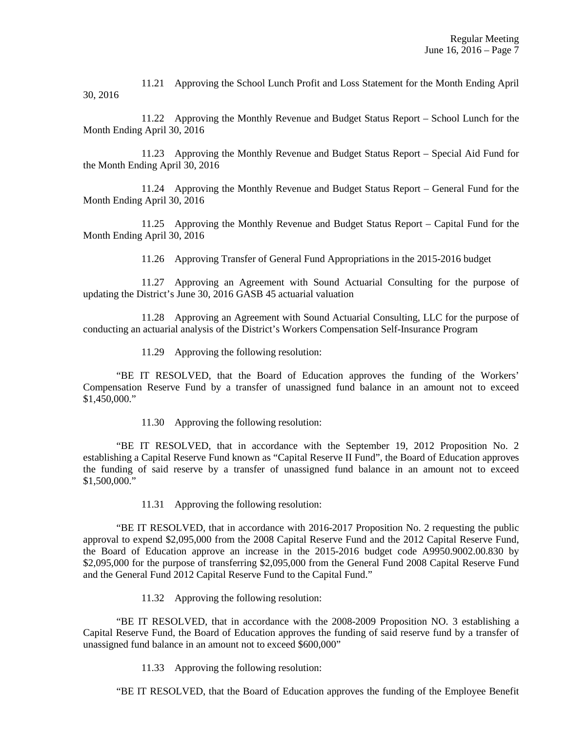11.21 Approving the School Lunch Profit and Loss Statement for the Month Ending April 30, 2016

 11.22 Approving the Monthly Revenue and Budget Status Report – School Lunch for the Month Ending April 30, 2016

 11.23 Approving the Monthly Revenue and Budget Status Report – Special Aid Fund for the Month Ending April 30, 2016

 11.24 Approving the Monthly Revenue and Budget Status Report – General Fund for the Month Ending April 30, 2016

 11.25 Approving the Monthly Revenue and Budget Status Report – Capital Fund for the Month Ending April 30, 2016

11.26 Approving Transfer of General Fund Appropriations in the 2015-2016 budget

 11.27 Approving an Agreement with Sound Actuarial Consulting for the purpose of updating the District's June 30, 2016 GASB 45 actuarial valuation

 11.28 Approving an Agreement with Sound Actuarial Consulting, LLC for the purpose of conducting an actuarial analysis of the District's Workers Compensation Self-Insurance Program

11.29 Approving the following resolution:

 "BE IT RESOLVED, that the Board of Education approves the funding of the Workers' Compensation Reserve Fund by a transfer of unassigned fund balance in an amount not to exceed \$1,450,000."

11.30 Approving the following resolution:

 "BE IT RESOLVED, that in accordance with the September 19, 2012 Proposition No. 2 establishing a Capital Reserve Fund known as "Capital Reserve II Fund", the Board of Education approves the funding of said reserve by a transfer of unassigned fund balance in an amount not to exceed \$1,500,000."

11.31 Approving the following resolution:

 "BE IT RESOLVED, that in accordance with 2016-2017 Proposition No. 2 requesting the public approval to expend \$2,095,000 from the 2008 Capital Reserve Fund and the 2012 Capital Reserve Fund, the Board of Education approve an increase in the 2015-2016 budget code A9950.9002.00.830 by \$2,095,000 for the purpose of transferring \$2,095,000 from the General Fund 2008 Capital Reserve Fund and the General Fund 2012 Capital Reserve Fund to the Capital Fund."

11.32 Approving the following resolution:

 "BE IT RESOLVED, that in accordance with the 2008-2009 Proposition NO. 3 establishing a Capital Reserve Fund, the Board of Education approves the funding of said reserve fund by a transfer of unassigned fund balance in an amount not to exceed \$600,000"

11.33 Approving the following resolution:

"BE IT RESOLVED, that the Board of Education approves the funding of the Employee Benefit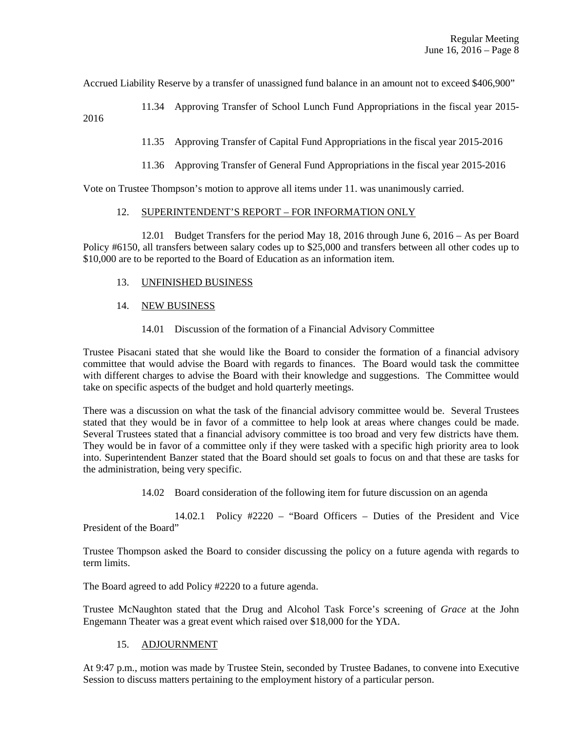Accrued Liability Reserve by a transfer of unassigned fund balance in an amount not to exceed \$406,900"

 11.34 Approving Transfer of School Lunch Fund Appropriations in the fiscal year 2015- 2016

11.35 Approving Transfer of Capital Fund Appropriations in the fiscal year 2015-2016

11.36 Approving Transfer of General Fund Appropriations in the fiscal year 2015-2016

Vote on Trustee Thompson's motion to approve all items under 11. was unanimously carried.

### 12. SUPERINTENDENT'S REPORT – FOR INFORMATION ONLY

 12.01 Budget Transfers for the period May 18, 2016 through June 6, 2016 – As per Board Policy #6150, all transfers between salary codes up to \$25,000 and transfers between all other codes up to \$10,000 are to be reported to the Board of Education as an information item.

- 13. UNFINISHED BUSINESS
- 14. NEW BUSINESS
	- 14.01 Discussion of the formation of a Financial Advisory Committee

Trustee Pisacani stated that she would like the Board to consider the formation of a financial advisory committee that would advise the Board with regards to finances. The Board would task the committee with different charges to advise the Board with their knowledge and suggestions. The Committee would take on specific aspects of the budget and hold quarterly meetings.

There was a discussion on what the task of the financial advisory committee would be. Several Trustees stated that they would be in favor of a committee to help look at areas where changes could be made. Several Trustees stated that a financial advisory committee is too broad and very few districts have them. They would be in favor of a committee only if they were tasked with a specific high priority area to look into. Superintendent Banzer stated that the Board should set goals to focus on and that these are tasks for the administration, being very specific.

14.02 Board consideration of the following item for future discussion on an agenda

 14.02.1 Policy #2220 – "Board Officers – Duties of the President and Vice President of the Board"

Trustee Thompson asked the Board to consider discussing the policy on a future agenda with regards to term limits.

The Board agreed to add Policy #2220 to a future agenda.

Trustee McNaughton stated that the Drug and Alcohol Task Force's screening of *Grace* at the John Engemann Theater was a great event which raised over \$18,000 for the YDA.

#### 15. ADJOURNMENT

At 9:47 p.m., motion was made by Trustee Stein, seconded by Trustee Badanes, to convene into Executive Session to discuss matters pertaining to the employment history of a particular person.